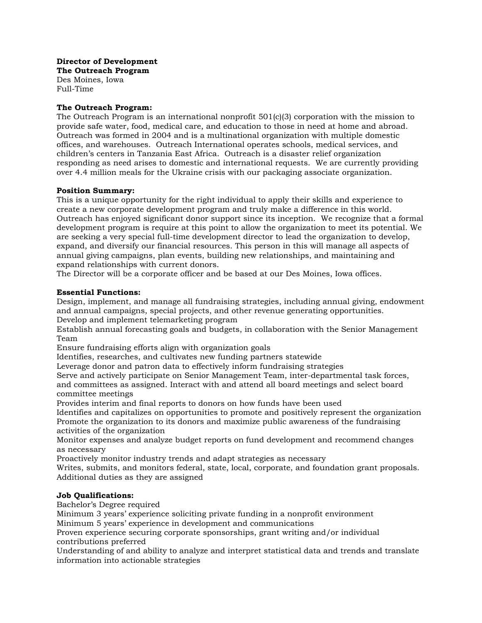**Director of Development The Outreach Program** Des Moines, Iowa

Full-Time

# **The Outreach Program:**

The Outreach Program is an international nonprofit 501(c)(3) corporation with the mission to provide safe water, food, medical care, and education to those in need at home and abroad. Outreach was formed in 2004 and is a multinational organization with multiple domestic offices, and warehouses. Outreach International operates schools, medical services, and children's centers in Tanzania East Africa. Outreach is a disaster relief organization responding as need arises to domestic and international requests. We are currently providing over 4.4 million meals for the Ukraine crisis with our packaging associate organization.

# **Position Summary:**

This is a unique opportunity for the right individual to apply their skills and experience to create a new corporate development program and truly make a difference in this world. Outreach has enjoyed significant donor support since its inception. We recognize that a formal development program is require at this point to allow the organization to meet its potential. We are seeking a very special full-time development director to lead the organization to develop, expand, and diversify our financial resources. This person in this will manage all aspects of annual giving campaigns, plan events, building new relationships, and maintaining and expand relationships with current donors.

The Director will be a corporate officer and be based at our Des Moines, Iowa offices.

# **Essential Functions:**

Design, implement, and manage all fundraising strategies, including annual giving, endowment and annual campaigns, special projects, and other revenue generating opportunities.

Develop and implement telemarketing program

Establish annual forecasting goals and budgets, in collaboration with the Senior Management Team

Ensure fundraising efforts align with organization goals

Identifies, researches, and cultivates new funding partners statewide

Leverage donor and patron data to effectively inform fundraising strategies

Serve and actively participate on Senior Management Team, inter-departmental task forces, and committees as assigned. Interact with and attend all board meetings and select board committee meetings

Provides interim and final reports to donors on how funds have been used

Identifies and capitalizes on opportunities to promote and positively represent the organization Promote the organization to its donors and maximize public awareness of the fundraising activities of the organization

Monitor expenses and analyze budget reports on fund development and recommend changes as necessary

Proactively monitor industry trends and adapt strategies as necessary

Writes, submits, and monitors federal, state, local, corporate, and foundation grant proposals. Additional duties as they are assigned

# **Job Qualifications:**

Bachelor's Degree required

Minimum 3 years' experience soliciting private funding in a nonprofit environment Minimum 5 years' experience in development and communications

Proven experience securing corporate sponsorships, grant writing and/or individual contributions preferred

Understanding of and ability to analyze and interpret statistical data and trends and translate information into actionable strategies